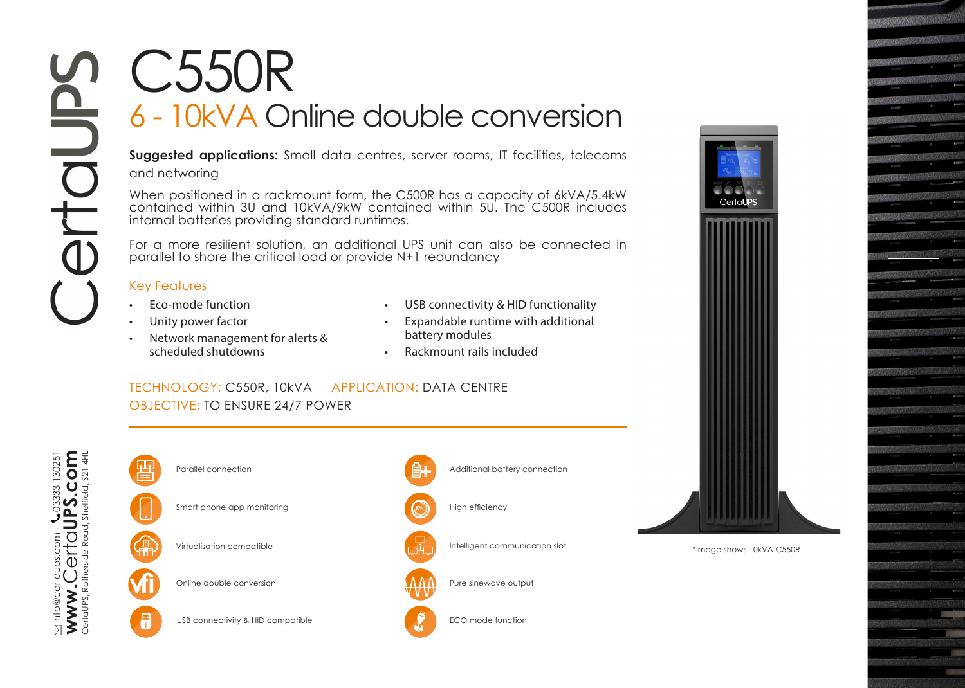## C550R 6 - 10kVA Online double conversion

**Suggested applications:** Small data centres, server rooms, IT facilities, telecoms and networing

When positioned in a rackmount form, the C500R has a capacity of 6kVA/5.4kW contained within 3U and 10kVA/9kW contained within 5U. The C500R includes internal batteries providing standard runtimes.

For a more resilient solution, an additional UPS unit can also be connected in parallel to share the critical load or provide N+1 redundancy

## Key Features

- Eco-mode function
- Unity power factor
- Network management for alerts & scheduled shutdowns
- USB connectivity & HID functionality
- Expandable runtime with additional battery modules
- Rackmount rails included

## TECHNOLOGY: C550R, 10kVA APPLICATION: DATA CENTRE OBJECTIVE: TO ENSURE 24/7 POWER



F



**Online double conversion** 

USB connectivity & HID compatible





\*Image shows 10kVA C550R